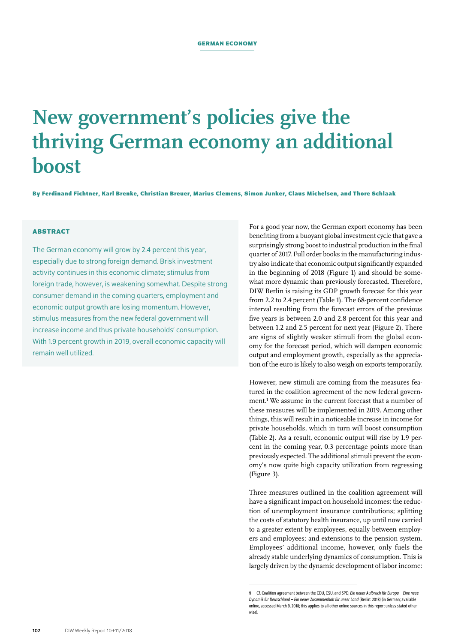# **New government's policies give the thriving German economy an additional boost**

**By Ferdinand Fichtner, Karl Brenke, Christian Breuer, Marius Clemens, Simon Junker, Claus Michelsen, and Thore Schlaak**

## **ABSTRACT**

The German economy will grow by 2.4 percent this year, especially due to strong foreign demand. Brisk investment activity continues in this economic climate; stimulus from foreign trade, however, is weakening somewhat. Despite strong consumer demand in the coming quarters, employment and economic output growth are losing momentum. However, stimulus measures from the new federal government will increase income and thus private households' consumption. With 1.9 percent growth in 2019, overall economic capacity will remain well utilized.

For a good year now, the German export economy has been benefiting from a buoyant global investment cycle that gave a surprisingly strong boost to industrial production in the final quarter of 2017. Full order books in the manufacturing industry also indicate that economic output significantly expanded in the beginning of 2018 (Figure 1) and should be somewhat more dynamic than previously forecasted. Therefore, DIW Berlin is raising its GDP growth forecast for this year from 2.2 to 2.4 percent (Table 1). The 68-percent confidence interval resulting from the forecast errors of the previous five years is between 2.0 and 2.8 percent for this year and between 1.2 and 2.5 percent for next year (Figure 2). There are signs of slightly weaker stimuli from the global economy for the forecast period, which will dampen economic output and employment growth, especially as the appreciation of the euro is likely to also weigh on exports temporarily.

However, new stimuli are coming from the measures featured in the coalition agreement of the new federal government.<sup>1</sup> We assume in the current forecast that a number of these measures will be implemented in 2019. Among other things, this will result in a noticeable increase in income for private households, which in turn will boost consumption (Table 2). As a result, economic output will rise by 1.9 percent in the coming year, 0.3 percentage points more than previously expected. The additional stimuli prevent the economy's now quite high capacity utilization from regressing (Figure 3).

Three measures outlined in the coalition agreement will have a significant impact on household incomes: the reduction of unemployment insurance contributions; splitting the costs of statutory health insurance, up until now carried to a greater extent by employees, equally between employers and employees; and extensions to the pension system. Employees' additional income, however, only fuels the already stable underlying dynamics of consumption. This is largely driven by the dynamic development of labor income:

**<sup>1</sup>** Cf. Coalition agreement between the CDU, CSU, and SPD, *Ein neuer Aufbruch für Europa – Eine neue Dynamik für Deutschland – Ein neuer Zusammenhalt für unser Land* (Berlin: 2018) (in German; [available](https://www.cdu.de/system/tdf/media/dokumente/koalitionsvertrag_2018.pdf?file=1)  [online](https://www.cdu.de/system/tdf/media/dokumente/koalitionsvertrag_2018.pdf?file=1), accessed March 9, 2018; this applies to all other online sources in this report unless stated otherwise).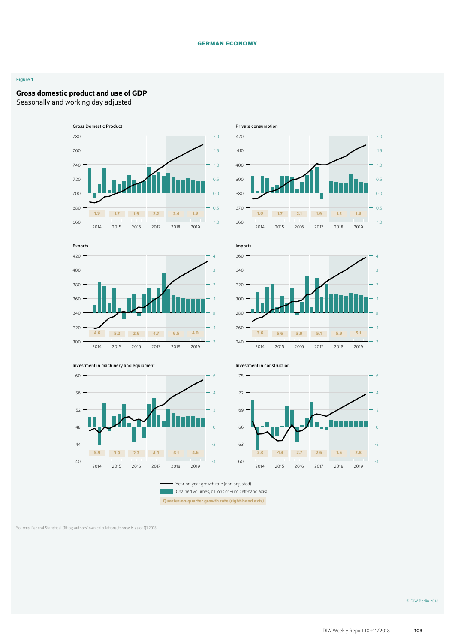## **German Economy**

#### Figure 1

## Gross domestic product and use of GDP

Seasonally and working day adjusted













Year-on-year growth rate (non-adjusted) Chained volumes, billions of Euro (left-hand axis)

Quarter-on-quarter growth rate (right-hand axis)

Sources: Federal Statistical Office; authors' own calculations, forecasts as of Q1 2018.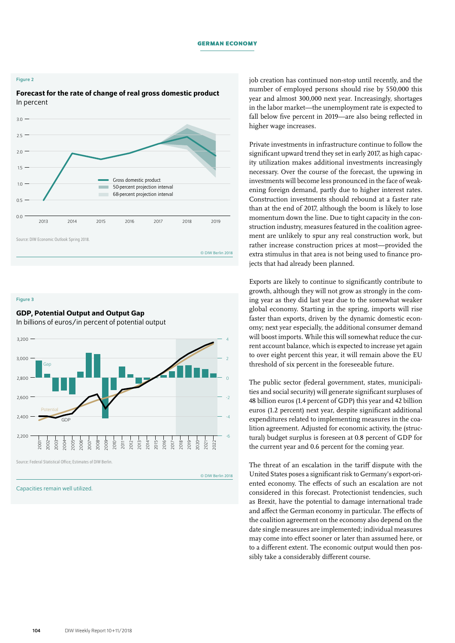#### **German Economy**

#### Figure 2

## Forecast for the rate of change of real gross domestic product In percent



Figure 3

# GDP, Potential Output and Output Gap

In billions of euros/in percent of potential output



Source: Federal Statistical Office; Estimates of DIW Berlin.

© DIW Berlin 2018

Capacities remain well utilized.

job creation has continued non-stop until recently, and the number of employed persons should rise by 550,000 this year and almost 300,000 next year. Increasingly, shortages in the labor market—the unemployment rate is expected to fall below five percent in 2019—are also being reflected in higher wage increases.

Private investments in infrastructure continue to follow the significant upward trend they set in early 2017, as high capacity utilization makes additional investments increasingly necessary. Over the course of the forecast, the upswing in investments will become less pronounced in the face of weakening foreign demand, partly due to higher interest rates. Construction investments should rebound at a faster rate than at the end of 2017, although the boom is likely to lose momentum down the line. Due to tight capacity in the construction industry, measures featured in the coalition agreement are unlikely to spur any real construction work, but rather increase construction prices at most—provided the extra stimulus in that area is not being used to finance projects that had already been planned.

Exports are likely to continue to significantly contribute to growth, although they will not grow as strongly in the coming year as they did last year due to the somewhat weaker global economy. Starting in the spring, imports will rise faster than exports, driven by the dynamic domestic economy; next year especially, the additional consumer demand will boost imports. While this will somewhat reduce the current account balance, which is expected to increase yet again to over eight percent this year, it will remain above the EU threshold of six percent in the foreseeable future.

The public sector (federal government, states, municipalities and social security) will generate significant surpluses of 48 billion euros (1.4 percent of GDP) this year and 42 billion euros (1.2 percent) next year, despite significant additional expenditures related to implementing measures in the coalition agreement. Adjusted for economic activity, the (structural) budget surplus is foreseen at 0.8 percent of GDP for the current year and 0.6 percent for the coming year.

The threat of an escalation in the tariff dispute with the United States poses a significant risk to Germany's export-oriented economy. The effects of such an escalation are not considered in this forecast. Protectionist tendencies, such as Brexit, have the potential to damage international trade and affect the German economy in particular. The effects of the coalition agreement on the economy also depend on the date single measures are implemented; individual measures may come into effect sooner or later than assumed here, or to a different extent. The economic output would then possibly take a considerably different course.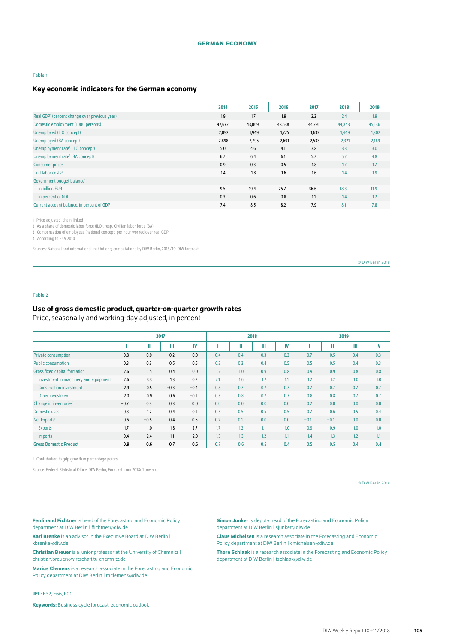#### **German Economy**

#### Table 1

## Key economic indicators for the German economy

|                                                           | 2014   | 2015   | 2016   | 2017   | 2018   | 2019   |
|-----------------------------------------------------------|--------|--------|--------|--------|--------|--------|
| Real GDP <sup>1</sup> (percent change over previous year) | 1.9    | 1.7    | 1.9    | 2.2    | 2.4    | 1.9    |
| Domestic employment (1000 persons)                        | 42,672 | 43,069 | 43,638 | 44,291 | 44,843 | 45,136 |
| Unemployed (ILO concept)                                  | 2,092  | 1,949  | 1,775  | 1,632  | 1,449  | 1,302  |
| Unemployed (BA concept)                                   | 2,898  | 2,795  | 2,691  | 2,533  | 2,321  | 2,169  |
| Unemployment rate <sup>2</sup> (ILO concept)              | 5.0    | 4.6    | 4.1    | 3.8    | 3.3    | 3.0    |
| Unemployment rate <sup>2</sup> (BA concept)               | 6.7    | 6.4    | 6.1    | 5.7    | 5.2    | 4.8    |
| <b>Consumer prices</b>                                    | 0.9    | 0.3    | 0.5    | 1.8    | 1.7    | 1.7    |
| Unit labor costs <sup>3</sup>                             | 1.4    | 1.8    | 1.6    | 1.6    | 1.4    | 1.9    |
| Government budget balance <sup>4</sup>                    |        |        |        |        |        |        |
| in billion EUR                                            | 9.5    | 19.4   | 25.7   | 36.6   | 48.3   | 41.9   |
| in percent of GDP                                         | 0.3    | 0.6    | 0.8    | 1.1    | 1.4    | 1.2    |
| Current account balance, in percent of GDP                | 7.4    | 8.5    | 8.2    | 7.9    | 8.1    | 7.8    |

1 Price-adjusted, chain-linked

2 As a share of domestic labor force (ILO), resp. Civilian labor force (BA)

3 Compensation of employees (national concept) per hour worked over real GDP

4 According to ESA 2010

Sources: National and international institutions; computations by DIW Berlin, 2018/19: DIW forecast.

© DIW Berlin 2018

#### Table 2

## Use of gross domestic product, quarter-on-quarter growth rates

Price, seasonally and working-day adjusted, in percent

|                                       |        | 2017   |        |        |     |     | 2018 |     | 2019   |        |     |     |
|---------------------------------------|--------|--------|--------|--------|-----|-----|------|-----|--------|--------|-----|-----|
|                                       |        | Ш      | Ш      | IV     |     | Ш   | Ш    | IV  |        | Ш      | Ш   | IV  |
| <b>Private consumption</b>            | 0.8    | 0.9    | $-0.2$ | 0.0    | 0.4 | 0.4 | 0.3  | 0.3 | 0.7    | 0.5    | 0.4 | 0.3 |
| <b>Public consumption</b>             | 0.3    | 0.3    | 0.5    | 0.5    | 0.2 | 0.3 | 0.4  | 0.5 | 0.5    | 0.5    | 0.4 | 0.3 |
| <b>Gross fixed capital formation</b>  | 2.6    | 1.5    | 0.4    | 0.0    | 1.2 | 1.0 | 0.9  | 0.8 | 0.9    | 0.9    | 0.8 | 0.8 |
| Investment in machinery and equipment | 2.6    | 3.3    | 1.3    | 0.7    | 2.1 | 1.6 | 1.2  | 1.1 | 1.2    | 1.2    | 1.0 | 1.0 |
| <b>Construction investment</b>        | 2.9    | 0.5    | $-0.3$ | $-0.4$ | 0.8 | 0.7 | 0.7  | 0.7 | 0.7    | 0.7    | 0.7 | 0.7 |
| Other investment                      | 2.0    | 0.9    | 0.6    | $-0.1$ | 0.8 | 0.8 | 0.7  | 0.7 | 0.8    | 0.8    | 0.7 | 0.7 |
| Change in inventories <sup>1</sup>    | $-0.7$ | 0.3    | 0.3    | 0.0    | 0.0 | 0.0 | 0.0  | 0.0 | 0.2    | 0.0    | 0.0 | 0.0 |
| <b>Domestic uses</b>                  | 0.3    | 1.2    | 0.4    | 0.1    | 0.5 | 0.5 | 0.5  | 0.5 | 0.7    | 0.6    | 0.5 | 0.4 |
| Net Exports <sup>1</sup>              | 0.6    | $-0.5$ | 0.4    | 0.5    | 0.2 | 0.1 | 0.0  | 0.0 | $-0.1$ | $-0.1$ | 0.0 | 0.0 |
| <b>Exports</b>                        | 1.7    | 1.0    | 1.8    | 2.7    | 1.7 | 1.2 | 1.1  | 1.0 | 0.9    | 0.9    | 1.0 | 1.0 |
| <b>Imports</b>                        | 0.4    | 2.4    | 1.1    | 2.0    | 1.3 | 1.3 | 1.2  | 1.1 | 1.4    | 1.3    | 1.2 | 1.1 |
| <b>Gross Domestic Product</b>         | 0.9    | 0.6    | 0.7    | 0.6    | 0.7 | 0.6 | 0.5  | 0.4 | 0.5    | 0.5    | 0.4 | 0.4 |

1 Contribution to gdp growth in percentage points

Source: Federal Statistical Office; DIW Berlin, Forecast from 2018q1 onward.

© DIW Berlin 2018

Ferdinand Fichtner is head of the Forecasting and Economic Policy department at DIW Berlin | [ffichtner@diw.de](mailto:ffichtner%40diw.de?subject=)

Karl Brenke is an advisor in the Executive Board at DIW Berlin | [kbrenke@diw.de](mailto:kbrenke@diw.de)

**Christian Breuer** is a junior professor at the University of Chemnitz | [christian.breuer@wirtschaft.tu-chemnitz.de](mailto:christian.breuer%40wirtschaft.tu-chemnitz.de?subject=)

Marius Clemens is a research associate in the Forecasting and Economic Policy department at DIW Berlin | [mclemens@diw.de](mailto:mclemens%40diw.de?subject=)

JEL: E32, E66, F01

Keywords: Business cycle forecast, economic outlook

**Simon Junker** is deputy head of the Forecasting and Economic Policy department at DIW Berlin | [sjunker@diw.de](mailto:sjunker%40diw.de?subject=)

Claus Michelsen is a research associate in the Forecasting and Economic Policy department at DIW Berlin | [cmichelsen@diw.de](mailto:cmichelsen%40diw.de?subject=)

Thore Schlaak is a research associate in the Forecasting and Economic Policy department at DIW Berlin | [tschlaak@diw.de](mailto:tschlaak%40diw.de?subject=)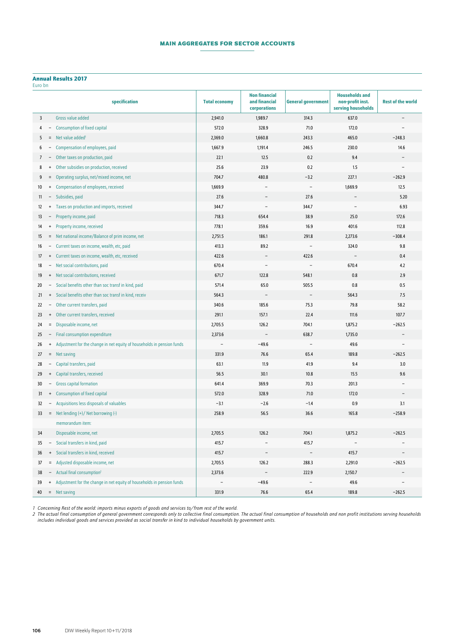## **MAIN AGGREGATES FOR SECTOR ACCOUNTS**

#### Annual Results 2017

|  | Euro bn |
|--|---------|
|  |         |

| Luiu bii      |                   |                                                                          |                      |                                                       |                           |                                                                 |                          |
|---------------|-------------------|--------------------------------------------------------------------------|----------------------|-------------------------------------------------------|---------------------------|-----------------------------------------------------------------|--------------------------|
|               |                   | specification                                                            | <b>Total economy</b> | <b>Non financial</b><br>and financial<br>corporations | <b>General government</b> | <b>Households and</b><br>non-profit inst.<br>serving households | <b>Rest of the world</b> |
| 3             |                   | Gross value added                                                        | 2,941.0              | 1,989.7                                               | 314.3                     | 637.0                                                           |                          |
| 4             |                   | <b>Consumption of fixed capital</b>                                      | 572.0                | 328.9                                                 | 71.0                      | 172.0                                                           |                          |
| 5             |                   | Net value added <sup>1</sup>                                             | 2,369.0              | 1,660.8                                               | 243.3                     | 465.0                                                           | $-248.3$                 |
| 6             |                   | Compensation of employees, paid                                          | 1,667.9              | 1,191.4                                               | 246.5                     | 230.0                                                           | 14.6                     |
| $\mathcal{I}$ |                   | Other taxes on production, paid                                          | 22.1                 | 12.5                                                  | 0.2                       | 9.4                                                             |                          |
| 8             | $\ddot{}$         | Other subsidies on production, received                                  | 25.6                 | 23.9                                                  | 0.2                       | 1.5                                                             |                          |
| 9             | $\equiv$          | Operating surplus, net/mixed income, net                                 | 704.7                | 480.8                                                 | $-3.2$                    | 227.1                                                           | $-262.9$                 |
| 10            | $+$               | Compensation of employees, received                                      | 1,669.9              |                                                       | $\overline{\phantom{a}}$  | 1,669.9                                                         | 12.5                     |
| 11            |                   | - Subsidies, paid                                                        | 27.6                 |                                                       | 27.6                      |                                                                 | 5.20                     |
| 12            |                   | + Taxes on production and imports, received                              | 344.7                |                                                       | 344.7                     |                                                                 | 6.93                     |
| 13            |                   | Property income, paid                                                    | 718.3                | 654.4                                                 | 38.9                      | 25.0                                                            | 172.6                    |
| 14            | $+$               | Property income, received                                                | 778.1                | 359.6                                                 | 16.9                      | 401.6                                                           | 112.8                    |
| 15            |                   | = Net national income/Balance of prim income, net                        | 2,751.5              | 186.1                                                 | 291.8                     | 2,273.6                                                         | $-308.4$                 |
| 16            |                   | - Current taxes on income, wealth, etc, paid                             | 413.3                | 89.2                                                  | $\overline{\phantom{0}}$  | 324.0                                                           | 9.8                      |
| 17            |                   | + Current taxes on income, wealth, etc, received                         | 422.6                |                                                       | 422.6                     |                                                                 | 0.4                      |
| 18            |                   | - Net social contributions, paid                                         | 670.4                |                                                       |                           | 670.4                                                           | 4.2                      |
| 19            |                   | + Net social contributions, received                                     | 671.7                | 122.8                                                 | 548.1                     | 0.8                                                             | 2.9                      |
| 20            |                   | - Social benefits other than soc transf in kind, paid                    | 571.4                | 65.0                                                  | 505.5                     | 0.8                                                             | 0.5                      |
| 21            |                   | + Social benefits other than soc transf in kind, receiv                  | 564.3                |                                                       |                           | 564.3                                                           | 7.5                      |
| 22            |                   | - Other current transfers, paid                                          | 340.6                | 185.6                                                 | 75.3                      | 79.8                                                            | 58.2                     |
| 23            |                   | + Other current transfers, received                                      | 291.1                | 157.1                                                 | 22.4                      | 111.6                                                           | 107.7                    |
| 24            |                   | = Disposable income, net                                                 | 2,705.5              | 126.2                                                 | 704.1                     | 1,875.2                                                         | $-262.5$                 |
| 25            |                   | - Final consumption expenditure                                          | 2,373.6              | $\overline{\phantom{a}}$                              | 638.7                     | 1,735.0                                                         |                          |
| 26            |                   | + Adjustment for the change in net equity of households in pension funds | $\overline{a}$       | $-49.6$                                               | $\overline{\phantom{a}}$  | 49.6                                                            |                          |
| 27            |                   | $=$ Net saving                                                           | 331.9                | 76.6                                                  | 65.4                      | 189.8                                                           | $-262.5$                 |
| 28            | -                 | Capital transfers, paid                                                  | 63.1                 | 11.9                                                  | 41.9                      | 9.4                                                             | 3.0                      |
| 29            | $^{\mathrm{+}}$   | Capital transfers, received                                              | 56.5                 | 30.1                                                  | 10.8                      | 15.5                                                            | 9.6                      |
| 30            |                   | <b>Gross capital formation</b>                                           | 641.4                | 369.9                                                 | 70.3                      | 201.3                                                           |                          |
| 31            | $\ddot{}$         | <b>Consumption of fixed capital</b>                                      | 572.0                | 328.9                                                 | 71.0                      | 172.0                                                           |                          |
| 32            |                   | Acquisitions less disposals of valuables                                 | $-3.1$               | $-2.6$                                                | $-1.4$                    | 0.9                                                             | 3.1                      |
| 33            |                   | = Net lending (+)/ Net borrowing (-)                                     | 258.9                | 56.5                                                  | 36.6                      | 165.8                                                           | $-258.9$                 |
|               |                   | memorandum item:                                                         |                      |                                                       |                           |                                                                 |                          |
| 34            |                   | Disposable income, net                                                   | 2,705.5              | 126.2                                                 | 704.1                     | 1,875.2                                                         | $-262.5$                 |
| 35            | $\qquad \qquad -$ | Social transfers in kind, paid                                           | 415.7                |                                                       | 415.7                     |                                                                 |                          |
| 36            | $\ddot{}$         | Social transfers in kind, received                                       | 415.7                |                                                       |                           | 415.7                                                           |                          |
| 37            | $=$               | Adjusted disposable income, net                                          | 2,705.5              | 126.2                                                 | 288.3                     | 2,291.0                                                         | $-262.5$                 |
| 38            | Ξ.                | Actual final consumption <sup>2</sup>                                    | 2,373.6              |                                                       | 222.9                     | 2,150.7                                                         |                          |
| 39            | $+$               | Adjustment for the change in net equity of households in pension funds   |                      | $-49.6$                                               | $\overline{\phantom{a}}$  | 49.6                                                            |                          |
| 40            |                   | $=$ Net saving                                                           | 331.9                | 76.6                                                  | 65.4                      | 189.8                                                           | $-262.5$                 |

*Concerning Rest of the world: imports minus exports of goods and services to/from rest of the world.*

*2 The actual final consumption of general government corresponds only to collective final consumption. The actual final consumption of households and non profit institutions serving households includes individual goods and services provided as social transfer in kind to individual households by government units.*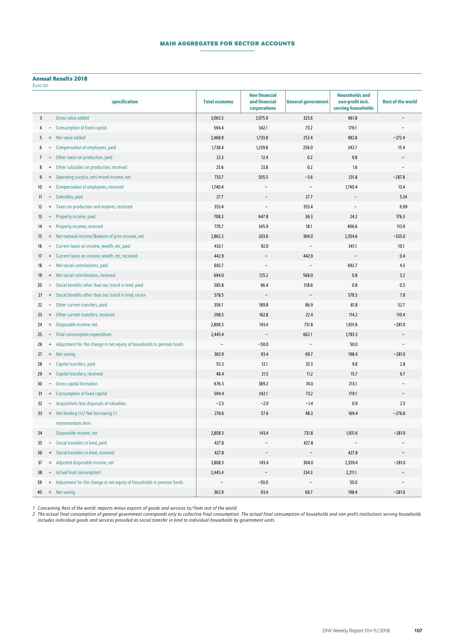## **Main Aggregates for Sector Accounts**

## Annual Results 2018

| Euro bn |
|---------|

|    |                                  | specification                                                            | <b>Total economy</b> | <b>Non financial</b><br>and financial<br>corporations | <b>General government</b> | <b>Households and</b><br>non-profit inst.<br>serving households | <b>Rest of the world</b> |
|----|----------------------------------|--------------------------------------------------------------------------|----------------------|-------------------------------------------------------|---------------------------|-----------------------------------------------------------------|--------------------------|
| 3  |                                  | Gross value added                                                        | 3,063.3              | 2,075.9                                               | 325.6                     | 661.8                                                           |                          |
| 4  |                                  | <b>Consumption of fixed capital</b>                                      | 594.4                | 342.1                                                 | 73.2                      | 179.1                                                           |                          |
| 5  | $\equiv$                         | Net value added <sup>1</sup>                                             | 2,468.9              | 1,733.8                                               | 252.4                     | 482.8                                                           | $-272.4$                 |
| 6  |                                  | Compensation of employees, paid                                          | 1,738.4              | 1,239.8                                               | 256.0                     | 242.7                                                           | 15.4                     |
| 7  |                                  | Other taxes on production, paid                                          | 22.3                 | 12.4                                                  | 0.2                       | 9.8                                                             |                          |
| 8  | $\ddot{}$                        | Other subsidies on production, received                                  | 25.6                 | 23.8                                                  | 0.2                       | 1.6                                                             |                          |
| 9  | $=$                              | Operating surplus, net/mixed income, net                                 | 733.7                | 505.5                                                 | $-3.6$                    | 231.8                                                           | $-287.8$                 |
| 10 | $^{+}$                           | Compensation of employees, received                                      | 1,740.4              |                                                       | $\overline{\phantom{a}}$  | 1,740.4                                                         | 13.4                     |
| 11 |                                  | - Subsidies, paid                                                        | 27.7                 |                                                       | 27.7                      |                                                                 | 5.24                     |
| 12 |                                  | + Taxes on production and imports, received                              | 353.4                |                                                       | 353.4                     |                                                                 | 6.99                     |
| 13 |                                  | Property income, paid                                                    | 708.3                | 647.8                                                 | 36.3                      | 24.2                                                            | 176.3                    |
| 14 |                                  | + Property income, received                                              | 770.7                | 345.9                                                 | 18.1                      | 406.6                                                           | 113.9                    |
| 15 |                                  | = Net national income/Balance of prim income, net                        | 2,862.2              | 203.6                                                 | 304.0                     | 2,354.6                                                         | $-335.0$                 |
| 16 |                                  | - Current taxes on income, wealth, etc, paid                             | 433.1                | 92.0                                                  | $\overline{\phantom{m}}$  | 341.1                                                           | 10.1                     |
| 17 |                                  | + Current taxes on income, wealth, etc, received                         | 442.9                |                                                       | 442.9                     |                                                                 | 0.4                      |
| 18 |                                  | - Net social contributions, paid                                         | 692.7                |                                                       |                           | 692.7                                                           | 4.5                      |
| 19 |                                  | + Net social contributions, received                                     | 694.0                | 125.2                                                 | 568.0                     | 0.8                                                             | 3.2                      |
| 20 |                                  | Social benefits other than soc transf in kind, paid                      | 585.8                | 66.4                                                  | 518.6                     | 0.8                                                             | 0.5                      |
| 21 |                                  | + Social benefits other than soc transf in kind, receiv                  | 578.5                |                                                       |                           | 578.5                                                           | 7.8                      |
| 22 |                                  | Other current transfers, paid                                            | 356.1                | 189.8                                                 | 86.9                      | 81.8                                                            | 52.7                     |
| 23 | $+$                              | Other current transfers, received                                        | 298.5                | 162.8                                                 | 22.4                      | 114.2                                                           | 110.4                    |
| 24 |                                  | = Disposable income, net                                                 | 2,808.3              | 143.4                                                 | 731.8                     | 1,931.6                                                         | $-281.0$                 |
| 25 | $\overline{\phantom{a}}$         | Final consumption expenditure                                            | 2,445.4              |                                                       | 662.1                     | 1,783.3                                                         |                          |
| 26 |                                  | + Adjustment for the change in net equity of households in pension funds | $\overline{a}$       | $-50.0$                                               | $\overline{\phantom{a}}$  | 50.0                                                            |                          |
| 27 |                                  | $=$ Net saving                                                           | 362.9                | 93.4                                                  | 69.7                      | 198.4                                                           | $-281.0$                 |
| 28 |                                  | Capital transfers, paid                                                  | 55.3                 | 12.1                                                  | 33.3                      | 9.8                                                             | 2.8                      |
| 29 | $\ddot{}$                        | Capital transfers, received                                              | 48.4                 | 21.5                                                  | 11.2                      | 15.7                                                            | 9.7                      |
| 30 |                                  | <b>Gross capital formation</b>                                           | 676.3                | 389.2                                                 | 74.0                      | 213.1                                                           |                          |
| 31 | $\ddot{}$                        | <b>Consumption of fixed capital</b>                                      | 594.4                | 342.1                                                 | 73.2                      | 179.1                                                           |                          |
| 32 |                                  | Acquisitions less disposals of valuables                                 | $-2.5$               | $-2.0$                                                | $-1.4$                    | 0.9                                                             | 2.5                      |
| 33 |                                  | = Net lending (+)/ Net borrowing (-)                                     | 276.6                | 57.6                                                  | 48.3                      | 169.4                                                           | $-276.6$                 |
|    |                                  | memorandum item:                                                         |                      |                                                       |                           |                                                                 |                          |
| 34 |                                  | Disposable income, net                                                   | 2,808.3              | 143.4                                                 | 731.8                     | 1,931.6                                                         | $-281.0$                 |
| 35 |                                  | Social transfers in kind, paid                                           | 427.8                |                                                       | 427.8                     |                                                                 |                          |
| 36 | $\begin{array}{c} + \end{array}$ | Social transfers in kind, received                                       | 427.8                |                                                       | $\overline{\phantom{a}}$  | 427.8                                                           |                          |
| 37 | $=$                              | Adjusted disposable income, net                                          | 2,808.3              | 143.4                                                 | 304.0                     | 2,359.4                                                         | $-281.0$                 |
| 38 |                                  | Actual final consumption <sup>2</sup>                                    | 2,445.4              |                                                       | 234.3                     | 2,211.1                                                         |                          |
| 39 | $\ddot{}$                        | Adjustment for the change in net equity of households in pension funds   |                      | $-50.0$                                               | $\overline{\phantom{a}}$  | 50.0                                                            |                          |
| 40 |                                  | $=$ Net saving                                                           | 362.9                | 93.4                                                  | 69.7                      | 198.4                                                           | $-281.0$                 |

*Concerning Rest of the world: imports minus exports of goods and services to/from rest of the world.*

*2 The actual final consumption of general government corresponds only to collective final consumption. The actual final consumption of households and non profit institutions serving households includes individual goods and services provided as social transfer in kind to individual households by government units.*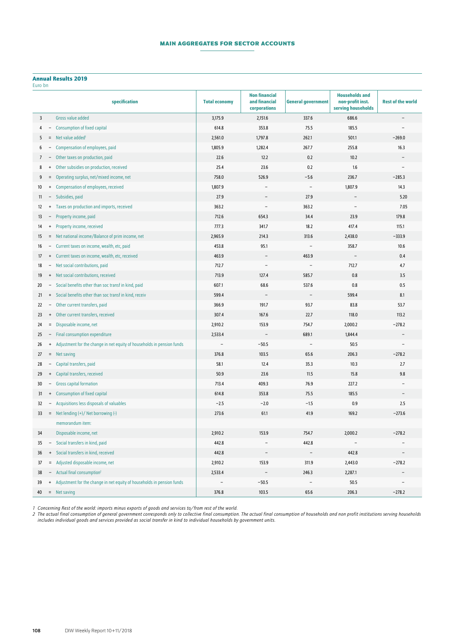## **Main Aggregates for Sector Accounts**

#### Annual Results 2019

| Euro bn |  |
|---------|--|

| LUIV DII |                                  | specification                                                            | <b>Total economy</b> | <b>Non financial</b><br>and financial | <b>General government</b> | <b>Households and</b><br>non-profit inst. | <b>Rest of the world</b> |
|----------|----------------------------------|--------------------------------------------------------------------------|----------------------|---------------------------------------|---------------------------|-------------------------------------------|--------------------------|
|          |                                  |                                                                          |                      | corporations                          |                           | serving households                        |                          |
| 3        |                                  | Gross value added                                                        | 3,175.9              | 2,151.6                               | 337.6                     | 686.6                                     |                          |
| 4        |                                  | <b>Consumption of fixed capital</b>                                      | 614.8                | 353.8                                 | 75.5                      | 185.5                                     |                          |
| 5        | $\equiv$                         | Net value added <sup>1</sup>                                             | 2,561.0              | 1,797.8                               | 262.1                     | 501.1                                     | $-269.0$                 |
| 6        |                                  | <b>Compensation of employees, paid</b>                                   | 1,805.9              | 1,282.4                               | 267.7                     | 255.8                                     | 16.3                     |
| 7        |                                  | Other taxes on production, paid                                          | 22.6                 | 12.2                                  | 0.2                       | 10.2                                      |                          |
| 8        | $\ddot{}$                        | Other subsidies on production, received                                  | 25.4                 | 23.6                                  | 0.2                       | 1.6                                       |                          |
| 9        | $\equiv$                         | Operating surplus, net/mixed income, net                                 | 758.0                | 526.9                                 | $-5.6$                    | 236.7                                     | $-285.3$                 |
| 10       | $\begin{array}{c} + \end{array}$ | Compensation of employees, received                                      | 1,807.9              |                                       | $\overline{\phantom{0}}$  | 1,807.9                                   | 14.3                     |
| 11       |                                  | - Subsidies, paid                                                        | 27.9                 |                                       | 27.9                      |                                           | 5.20                     |
| 12       | $\begin{array}{c} + \end{array}$ | Taxes on production and imports, received                                | 363.2                |                                       | 363.2                     |                                           | 7.05                     |
| 13       |                                  | Property income, paid                                                    | 712.6                | 654.3                                 | 34.4                      | 23.9                                      | 179.8                    |
| 14       | $+$                              | Property income, received                                                | 777.3                | 341.7                                 | 18.2                      | 417.4                                     | 115.1                    |
| 15       |                                  | = Net national income/Balance of prim income, net                        | 2,965.9              | 214.3                                 | 313.6                     | 2,438.0                                   | $-333.9$                 |
| 16       |                                  | - Current taxes on income, wealth, etc, paid                             | 453.8                | 95.1                                  | $\overline{\phantom{a}}$  | 358.7                                     | 10.6                     |
| 17       | $\begin{array}{c} + \end{array}$ | Current taxes on income, wealth, etc, received                           | 463.9                |                                       | 463.9                     |                                           | 0.4                      |
| 18       |                                  | - Net social contributions, paid                                         | 712.7                |                                       |                           | 712.7                                     | 4.7                      |
| 19       |                                  | + Net social contributions, received                                     | 713.9                | 127.4                                 | 585.7                     | 0.8                                       | 3.5                      |
| 20       |                                  | - Social benefits other than soc transf in kind, paid                    | 607.1                | 68.6                                  | 537.6                     | 0.8                                       | 0.5                      |
| 21       |                                  | + Social benefits other than soc transf in kind, receiv                  | 599.4                |                                       |                           | 599.4                                     | 8.1                      |
| 22       | $ \,$                            | Other current transfers, paid                                            | 366.9                | 191.7                                 | 93.7                      | 83.8                                      | 53.7                     |
| 23       |                                  | + Other current transfers, received                                      | 307.4                | 167.6                                 | 22.7                      | 118.0                                     | 113.2                    |
| 24       |                                  | = Disposable income, net                                                 | 2,910.2              | 153.9                                 | 754.7                     | 2,000.2                                   | $-278.2$                 |
| 25       |                                  | - Final consumption expenditure                                          | 2,533.4              | $\overline{\phantom{a}}$              | 689.1                     | 1,844.4                                   |                          |
| 26       |                                  | + Adjustment for the change in net equity of households in pension funds |                      | $-50.5$                               | $\overline{\phantom{0}}$  | 50.5                                      |                          |
| 27       |                                  | $=$ Net saving                                                           | 376.8                | 103.5                                 | 65.6                      | 206.3                                     | $-278.2$                 |
| 28       |                                  | Capital transfers, paid                                                  | 58.1                 | 12.4                                  | 35.3                      | 10.3                                      | 2.7                      |
| 29       | $+$                              | Capital transfers, received                                              | 50.9                 | 23.6                                  | 11.5                      | 15.8                                      | 9.8                      |
| 30       | $\overline{\phantom{a}}$         | <b>Gross capital formation</b>                                           | 713.4                | 409.3                                 | 76.9                      | 227.2                                     |                          |
| 31       | $\begin{array}{c} + \end{array}$ | <b>Consumption of fixed capital</b>                                      | 614.8                | 353.8                                 | 75.5                      | 185.5                                     |                          |
| 32       |                                  | Acquisitions less disposals of valuables                                 | $-2.5$               | $-2.0$                                | $-1.5$                    | 0.9                                       | 2.5                      |
| 33       |                                  | = Net lending (+)/ Net borrowing (-)                                     | 273.6                | 61.1                                  | 41.9                      | 169.2                                     | $-273.6$                 |
|          |                                  | memorandum item:                                                         |                      |                                       |                           |                                           |                          |
| 34       |                                  | Disposable income, net                                                   | 2,910.2              | 153.9                                 | 754.7                     | 2,000.2                                   | $-278.2$                 |
| 35       |                                  | Social transfers in kind, paid                                           | 442.8                |                                       | 442.8                     |                                           |                          |
| 36       | $\begin{array}{c} + \end{array}$ | Social transfers in kind, received                                       | 442.8                |                                       |                           | 442.8                                     |                          |
| 37       | $\equiv$                         | Adjusted disposable income, net                                          | 2,910.2              | 153.9                                 | 311.9                     | 2,443.0                                   | $-278.2$                 |
| 38       | -                                | Actual final consumption <sup>2</sup>                                    | 2,533.4              |                                       | 246.3                     | 2,287.1                                   |                          |
| 39       | $+$                              | Adjustment for the change in net equity of households in pension funds   |                      | $-50.5$                               | $\overline{a}$            | 50.5                                      |                          |
| 40       |                                  | $=$ Net saving                                                           | 376.8                | 103.5                                 | 65.6                      | 206.3                                     | $-278.2$                 |

*Concerning Rest of the world: imports minus exports of goods and services to/from rest of the world.*

*2 The actual final consumption of general government corresponds only to collective final consumption. The actual final consumption of households and non profit institutions serving households includes individual goods and services provided as social transfer in kind to individual households by government units.*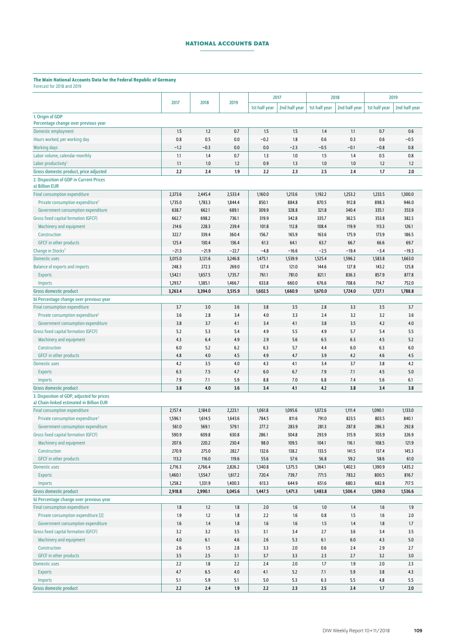## **NATIONAL ACCOUNTS DATA**

#### The Main National Accounts Data for the Federal Republic of Germany<br>Enteract for 2018 and 2019 ast for  $2018$  and

| 01 CCU3C TUT ZU TU UNU ZUT.                                                            |                    |                  |                    |                  |                  |                  |                  |                  |                  |
|----------------------------------------------------------------------------------------|--------------------|------------------|--------------------|------------------|------------------|------------------|------------------|------------------|------------------|
|                                                                                        |                    |                  |                    |                  | 2017             |                  | 2018             |                  | 2019             |
|                                                                                        | 2017               | 2018             | 2019               | 1st half year    | 2nd half year    | 1st half year    | 2nd half year    | 1st half year    | 2nd half year    |
| 1. Origin of GDP                                                                       |                    |                  |                    |                  |                  |                  |                  |                  |                  |
| Percentage change over previous year                                                   |                    |                  |                    |                  |                  |                  |                  |                  |                  |
| Domestic employment                                                                    | 1.5                | 1.2              | 0.7                | 1.5              | 1.5              | 1.4              | 1.1              | 0.7              | 0.6              |
| Hours worked, per working day                                                          | 0.8                | 0.5              | 0.0                | $-0.2$           | 1.8              | 0.6              | 0.3              | 0.6              | $-0.5$           |
| <b>Working days</b>                                                                    | $-1.2$             | $-0.3$           | 0.0                | 0.0              | $-2.3$           | $-0.5$           | $-0.1$           | $-0.8$           | 0.8              |
| Labor volume, calendar-monthly                                                         | 1.1                | 1.4              | 0.7                | 1.3              | 1.0              | 1.5              | 1.4              | 0.5              | 0.8              |
| Labor productivity <sup>1</sup>                                                        | 1.1                | 1.0              | 1.2                | 0.9              | 1.3              | 1.0              | 1.0              | 1.2              | 1.2              |
| Gross domestic product, price adjusted                                                 | 2.2                | 2.4              | 1.9                | 2.2              | 2.3              | 2.5              | 2.4              | 1.7              | 2.0              |
| 2. Disposition of GDP in Current Prices<br>a) Billion EUR                              |                    |                  |                    |                  |                  |                  |                  |                  |                  |
| <b>Final consumption expenditure</b>                                                   | 2,373.6            | 2,445.4          | 2,533.4            | 1,160.0          | 1,213.6          | 1,192.2          | 1,253.2          | 1,233.5          | 1,300.0          |
| Private consumption expenditure <sup>2</sup>                                           | 1,735.0            | 1,783.3          | 1,844.4            | 850.1            | 884.8            | 870.5            | 912.8            | 898.3            | 946.0            |
| Government consumption expenditure                                                     | 638.7              | 662.1            | 689.1              | 309.9            | 328.8            | 321.8            | 340.4            | 335.1            | 353.9            |
| <b>Gross fixed capital formation (GFCF)</b>                                            | 662.7              | 698.2            | 736.1              | 319.9            | 342.8            | 335.7            | 362.5            | 353.8            | 382.3            |
| Machinery and equipment                                                                | 214.6              | 228.3            | 239.4              | 101.8            | 112.8            | 108.4            | 119.9            | 113.3            | 126.1            |
| Construction                                                                           | 322.7              | 339.4            | 360.4              | 156.7            | 165.9            | 163.6            | 175.9            | 173.9            | 186.5            |
| <b>GFCF</b> in other products                                                          | 125.4              | 130.4            | 136.4              | 61.3             | 64.1             | 63.7             | 66.7             | 66.6             | 69.7             |
| Change in Stocks <sup>3</sup>                                                          | $-21.3$            | $-21.9$          | $-22.7$            | $-4.8$           | $-16.6$          | $-2.5$           | $-19.4$          | $-3.4$           | $-19.3$          |
| <b>Domestic uses</b>                                                                   | 3,015.0            | 3,121.6          | 3,246.8            | 1,475.1          | 1,539.9          | 1,525.4          | 1,596.2          | 1,583.8          | 1,663.0          |
| <b>Balance of exports and imports</b>                                                  | 248.3              | 272.3            | 269.0              | 127.4            | 121.0            | 144.6            | 127.8            | 143.2            | 125.8            |
| <b>Exports</b>                                                                         | 1,542.1            | 1,657.5          | 1,735.7            | 761.1            | 781.0            | 821.1            | 836.3            | 857.9            | 877.8            |
| Imports                                                                                | 1,293.7            | 1,385.1          | 1,466.7            | 633.8            | 660.0            | 676.6            | 708.6            | 714.7            | 752.0            |
| <b>Gross domestic product</b>                                                          | 3,263.4            | 3,394.0          | 3,515.9            | 1,602.5          | 1,660.9          | 1,670.0          | 1,724.0          | 1,727.1          | 1,788.8          |
| b) Percentage change over previous year                                                |                    |                  |                    |                  |                  |                  |                  |                  |                  |
| <b>Final consumption expenditure</b>                                                   | 3.7                | 3.0              | 3.6                | 3.8              | 3.5              | 2.8              | 3.3              | 3.5              | 3.7              |
| Private consumption expenditure <sup>2</sup>                                           | 3.6<br>3.8         | 2.8<br>3.7       | 3.4                | 4.0<br>3.4       | 3.3              | 2.4              | 3.2<br>3.5       | 3.2<br>4.2       | 3.6<br>4.0       |
| Government consumption expenditure<br><b>Gross fixed capital formation (GFCF)</b>      | 5.2                | 5.3              | 4.1<br>5.4         | 4.9              | 4.1<br>5.5       | 3.8<br>4.9       | 5.7              | 5.4              | 5.5              |
| Machinery and equipment                                                                | 4.3                | 6.4              | 4.9                | 2.9              | 5.6              | 6.5              | 6.3              | 4.5              | 5.2              |
| Construction                                                                           | 6.0                | 5.2              | 6.2                | 6.3              | 5.7              | 4.4              | 6.0              | 6.3              | 6.0              |
| <b>GFCF</b> in other products                                                          | 4.8                | 4.0              | 4.5                | 4.9              | 4.7              | 3.9              | 4.2              | 4.6              | 4.5              |
| <b>Domestic uses</b>                                                                   | 4.2                | 3.5              | 4.0                | 4.3              | 4.1              | 3.4              | 3.7              | 3.8              | 4.2              |
| <b>Exports</b>                                                                         | 6.3                | 7.5              | 4.7                | 6.0              | 6.7              | 7.9              | 7.1              | 4.5              | 5.0              |
| <b>Imports</b>                                                                         | 7.9                | 7.1              | 5.9                | 8.8              | 7.0              | 6.8              | 7.4              | 5.6              | 6.1              |
| <b>Gross domestic product</b>                                                          | 3.8                | 4.0              | 3.6                | 3.4              | 4.1              | 4.2              | 3.8              | 3.4              | 3.8              |
| 3. Disposition of GDP, adjusted for prices<br>a) Chain-linked estimated in Billion EUR |                    |                  |                    |                  |                  |                  |                  |                  |                  |
| <b>Final consumption expenditure</b>                                                   | 2,157.4            | 2,184.0          | 2,223.1            | 1,061.8          | 1,095.6          | 1,072.6          | 1,111.4          | 1,090.1          | 1,133.0          |
| Private consumption expenditure <sup>2</sup>                                           | 1,596.1            | 1,614.5          | 1,643.6            | 784.5            | 811.6            | 791.0            | 823.5            | 803.5            | 840.1            |
| Government consumption expenditure                                                     | 561.0              | 569.1            | 579.1              | 277.2            | 283.9            | 281.3            | 287.8            | 286.3            | 292.8            |
| <b>Gross fixed capital formation (GFCF)</b>                                            | 590.9              | 609.8            | 630.8              | 286.1            | 304.8            | 293.9            | 315.9            | 303.9            | 326.9            |
| Machinery and equipment                                                                | 207.6              | 220.2            | 230.4              | 98.0             | 109.5            | 104.1            | 116.1            | 108.5            | 121.9            |
| Construction                                                                           | 270.9              | 275.0            | 282.7              | 132.6            | 138.2            | 133.5            | 141.5            | 137.4            | 145.3            |
| <b>GFCF</b> in other products<br><b>Domestic uses</b>                                  | 113.2              | 116.0<br>2,766.4 | 119.6              | 55.6             | 57.6             | 56.8             | 59.2             | 58.6             | 61.0             |
| <b>Exports</b>                                                                         | 2,716.3<br>1,460.1 | 1,554.7          | 2,826.2<br>1,617.2 | 1,340.8<br>720.4 | 1,375.5<br>739.7 | 1,364.1<br>771.5 | 1,402.3<br>783.2 | 1,390.9<br>800.5 | 1,435.2<br>816.7 |
| Imports                                                                                | 1,258.2            | 1,331.9          | 1,400.3            | 613.3            | 644.9            | 651.6            | 680.3            | 682.8            | 717.5            |
| <b>Gross domestic product</b>                                                          | 2,918.8            | 2,990.1          | 3,045.6            | 1,447.5          | 1,471.3          | 1,483.8          | 1,506.4          | 1,509.0          | 1,536.6          |
| b) Percentage change over previous year                                                |                    |                  |                    |                  |                  |                  |                  |                  |                  |
| <b>Final consumption expenditure</b>                                                   | 1.8                | $1.2\,$          | 1.8                | 2.0              | 1.6              | 1.0              | 1.4              | $1.6\,$          | 1.9              |
| Private consumption expenditure [2]                                                    | 1.9                | $1.2$            | 1.8                | 2.2              | $1.6\,$          | 0.8              | 1.5              | $1.6\,$          | 2.0              |
| Government consumption expenditure                                                     | 1.6                | 1.4              | $1.8\,$            | 1.6              | 1.6              | 1.5              | 1.4              | 1.8              | 1.7              |
| <b>Gross fixed capital formation (GFCF)</b>                                            | 3.2                | 3.2              | 3.5                | 3.1              | 3.4              | 2.7              | 3.6              | 3.4              | 3.5              |
| Machinery and equipment                                                                | 4.0                | $6.1\,$          | 4.6                | 2.6              | 5.3              | 6.1              | $6.0\,$          | 4.3              | 5.0              |
| Construction                                                                           | 2.6                | 1.5              | 2.8                | 3.3              | 2.0              | $0.6\,$          | 2.4              | 2.9              | 2.7              |
| <b>GFCF</b> in other products                                                          | 3.5                | 2.5              | 3.1                | 3.7              | 3.3              | 2.3              | 2.7              | 3.2              | 3.0              |
| Domestic uses                                                                          | 2.2                | 1.8              | 2.2                | $2.4$            | 2.0              | 1.7              | 1.9              | 2.0              | 2.3              |
| <b>Exports</b>                                                                         | 4.7                | $6.5\,$          | 4.0                | 4.1              | 5.2              | 7.1              | 5.9              | 3.8              | 4.3              |
| <b>Imports</b>                                                                         | 5.1                | 5.9              | 5.1                | 5.0              | 5.3              | 6.3              | 5.5              | 4.8              | 5.5              |
| <b>Gross domestic product</b>                                                          | 2.2                | 2.4              | 1.9                | 2.2              | 2.3              | 2.5              | $2.4$            | 1.7              | 2.0              |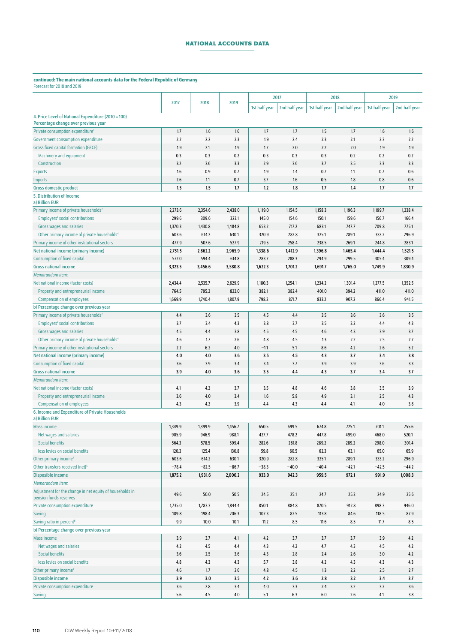## **NATIONAL ACCOUNTS DATA**

#### continued: The main national accounts data for the Federal Republic of Germany Forecast for 2018 and 2019

|                                                                                    | 2017    | 2018    | 2019    |               | 2017          |               | 2018          |               | 2019          |
|------------------------------------------------------------------------------------|---------|---------|---------|---------------|---------------|---------------|---------------|---------------|---------------|
|                                                                                    |         |         |         | 1st half year | 2nd half year | 1st half year | 2nd half year | 1st half year | 2nd half year |
| 4. Price Level of National Expenditure (2010 = 100)                                |         |         |         |               |               |               |               |               |               |
| Percentage change over previous year                                               |         |         |         |               |               |               |               |               |               |
| Private consumption expenditure <sup>2</sup>                                       | 1.7     | 1.6     | 1.6     | 1.7           | 1.7           | 1.5           | 1.7           | 1.6           | 1.6           |
| Government consumption expenditure                                                 | 2.2     | 2.2     | 2.3     | 1.9           | 2.4           | 2.3           | 2.1           | 2.3           | 2.2           |
| <b>Gross fixed capital formation (GFCF)</b>                                        | 1.9     | 2.1     | 1.9     | 1.7           | 2.0           | 2.2           | 2.0           | 1.9           | 1.9           |
| Machinery and equipment                                                            | 0.3     | 0.3     | 0.2     | 0.3           | 0.3           | 0.3           | 0.2           | 0.2           | 0.2           |
| Construction                                                                       | 3.2     | 3.6     | 3.3     | 2.9           | 3.6           | 3.7           | 3.5           | 3.3           | 3.3           |
| <b>Exports</b>                                                                     | 1.6     | 0.9     | 0.7     | 1.9           | 1.4           | 0.7           | 1.1           | 0.7           | 0.6           |
| <b>Imports</b>                                                                     | 2.6     | 1.1     | 0.7     | 3.7           | 1.6           | 0.5           | 1.8           | 0.8           | 0.6           |
| <b>Gross domestic product</b>                                                      | 1.5     | 1.5     | 1.7     | 1.2           | 1.8           | 1.7           | 1.4           | 1.7           | 1.7           |
| 5. Distribution of Income<br>a) Billion EUR                                        |         |         |         |               |               |               |               |               |               |
| Primary income of private households <sup>2</sup>                                  | 2,273.6 | 2,354.6 | 2,438.0 | 1,119.0       | 1,154.5       | 1,158.3       | 1,196.3       | 1,199.7       | 1,238.4       |
| <b>Employers' social contributions</b>                                             | 299.6   | 309.6   | 323.1   | 145.0         | 154.6         | 150.1         | 159.6         | 156.7         | 166.4         |
| Gross wages and salaries                                                           | 1,370.3 | 1,430.8 | 1,484.8 | 653.2         | 717.2         | 683.1         | 747.7         | 709.8         | 775.1         |
| Other primary income of private households <sup>4</sup>                            | 603.6   | 614.2   | 630.1   | 320.9         | 282.8         | 325.1         | 289.1         | 333.2         | 296.9         |
| Primary income of other institutional sectors                                      | 477.9   | 507.6   | 527.9   | 219.5         | 258.4         | 238.5         | 269.1         | 244.8         | 283.1         |
| Net national income (primary income)                                               | 2,751.5 | 2,862.2 | 2,965.9 | 1,338.6       | 1,412.9       | 1,396.8       | 1,465.4       | 1,444.4       | 1,521.5       |
| <b>Consumption of fixed capital</b>                                                | 572.0   | 594.4   | 614.8   | 283.7         | 288.3         | 294.9         | 299.5         | 305.4         | 309.4         |
| <b>Gross national income</b>                                                       | 3,323.5 | 3,456.6 | 3,580.8 | 1,622.3       | 1,701.2       | 1,691.7       | 1,765.0       | 1,749.9       | 1,830.9       |
| Memorandum item:                                                                   |         |         |         |               |               |               |               |               |               |
| Net national income (factor costs)                                                 | 2,434.4 | 2,535.7 | 2,629.9 | 1,180.3       | 1,254.1       | 1,234.2       | 1,301.4       | 1,277.5       | 1,352.5       |
| Property and entrepreneurial income                                                | 764.5   | 795.2   | 822.0   | 382.1         | 382.4         | 401.0         | 394.2         | 411.0         | 411.0         |
| <b>Compensation of employees</b>                                                   | 1,669.9 | 1,740.4 | 1,807.9 | 798.2         | 871.7         | 833.2         | 907.2         | 866.4         | 941.5         |
| b) Percentage change over previous year                                            |         |         |         |               |               |               |               |               |               |
| Primary income of private households <sup>2</sup>                                  | 4.4     | 3.6     | 3.5     | 4.5           | 4.4           | 3.5           | 3.6           | 3.6           | 3.5           |
| <b>Employers' social contributions</b>                                             | 3.7     | 3.4     | 4.3     | 3.8           | 3.7           | 3.5           | 3.2           | 4.4           | 4.3           |
| Gross wages and salaries                                                           | 4.5     | 4.4     | 3.8     | 4.5           | 4.5           | 4.6           | 4.3           | 3.9           | 3.7           |
| Other primary income of private households <sup>4</sup>                            | 4.6     | 1.7     | 2.6     | 4.8           | 4.5           | 1.3           | 2.2           | 2.5           | 2.7           |
| Primary income of other institutional sectors                                      | 2.2     | 6.2     | 4.0     | $-1.1$        | 5.1           | 8.6           | 4.2           | 2.6           | 5.2           |
| <b>Net national income (primary income)</b>                                        | 4.0     | 4.0     | 3.6     | 3.5           | 4.5           | 4.3           | 3.7           | 3.4           | 3.8           |
| <b>Consumption of fixed capital</b>                                                | 3.6     | 3.9     | 3.4     | 3.4           | 3.7           | 3.9           | 3.9           | 3.6           | 3.3           |
| <b>Gross national income</b>                                                       | 3.9     | 4.0     | 3.6     | 3.5           | 4.4           | 4.3           | 3.7           | 3.4           | 3.7           |
| Memorandum item:                                                                   |         |         |         |               |               |               |               |               |               |
| Net national income (factor costs)                                                 | 4.1     | 4.2     | 3.7     | 3.5           | 4.8           | 4.6           | 3.8           | 3.5           | 3.9           |
| Property and entrepreneurial income                                                | 3.6     | $4.0$   | 3.4     | 1.6           | 5.8           | 4.9           | 3.1           | 2.5           | 4.3           |
| <b>Compensation of employees</b>                                                   | 4.3     | 4.2     | 3.9     | 4.4           | 4.3           | 4.4           | 4.1           | 4.0           | 3.8           |
| 6. Income and Expenditure of Private Households                                    |         |         |         |               |               |               |               |               |               |
| a) Billion EUR                                                                     |         |         |         |               |               |               |               |               |               |
| <b>Mass income</b>                                                                 | 1,349.9 | 1,399.9 | 1,456.7 | 650.5         | 699.5         | 674.8         | 725.1         | 701.1         | 755.6         |
| Net wages and salaries                                                             | 905.9   | 946.9   | 988.1   | 427.7         | 478.2         | 447.8         | 499.0         | 468.0         | 520.1         |
| <b>Social benefits</b>                                                             | 564.3   | 578.5   | 599.4   | 282.6         | 281.8         | 289.2         | 289.2         | 298.0         | 301.4         |
| less levies on social benefits                                                     | 120.3   | 125.4   | 130.8   | 59.8          | 60.5          | 62.3          | 63.1          | 65.0          | 65.9          |
| Other primary income <sup>4</sup>                                                  | 603.6   | 614.2   | 630.1   | 320.9         | 282.8         | 325.1         | 289.1         | 333.2         | 296.9         |
| Other transfers received (net) <sup>5</sup>                                        | $-78.4$ | $-82.5$ | $-86.7$ | $-38.3$       | $-40.0$       | $-40.4$       | $-42.1$       | $-42.5$       | $-44.2$       |
| <b>Disposible income</b>                                                           | 1,875.2 | 1,931.6 | 2,000.2 | 933.0         | 942.3         | 959.5         | 972.1         | 991.9         | 1,008.3       |
| Memorandum item:                                                                   |         |         |         |               |               |               |               |               |               |
| Adjustment for the change in net equity of households in<br>pension funds reserves | 49.6    | $50.0$  | 50.5    | 24.5          | 25.1          | 24.7          | 25.3          | 24.9          | 25.6          |
|                                                                                    |         |         |         |               |               |               |               |               |               |
| <b>Private consumption expenditure</b>                                             | 1,735.0 | 1,783.3 | 1,844.4 | 850.1         | 884.8         | 870.5         | 912.8         | 898.3         | 946.0         |
| <b>Saving</b>                                                                      | 189.8   | 198.4   | 206.3   | 107.3         | 82.5          | 113.8         | 84.6          | 118.5         | 87.9          |
| Saving ratio in percent <sup>6</sup>                                               | 9.9     | 10.0    | 10.1    | 11.2          | 8.5           | 11.6          | 8.5           | 11.7          | 8.5           |
| b) Percentage change over previous year                                            |         |         |         |               |               |               |               |               |               |
| <b>Mass income</b>                                                                 | 3.9     | 3.7     | 4.1     | 4.2           | 3.7           | 3.7           | 3.7           | 3.9           | 4.2           |
| Net wages and salaries                                                             | 4.2     | 4.5     | 4.4     | 4.3           | 4.2           | 4.7           | 4.3           | 4.5           | 4.2           |
| <b>Social benefits</b>                                                             | 3.6     | 2.5     | 3.6     | 4.3           | 2.8           | 2.4           | $2.6\,$       | 3.0           | 4.2           |
| less levies on social benefits                                                     | 4.8     | 4.3     | 4.3     | 5.7           | 3.8           | 4.2           | 4.3           | 4.3           | 4.3           |
| Other primary income <sup>4</sup>                                                  | 4.6     | $1.7\,$ | 2.6     | 4.8           | 4.5           | 1.3           | 2.2           | 2.5           | 2.7           |
| <b>Disposible income</b>                                                           | 3.9     | 3.0     | 3.5     | 4.2           | 3.6           | 2.8           | 3.2           | 3.4           | 3.7           |
| Private consumption expenditure                                                    | 3.6     | $2.8$   | 3.4     | 4.0           | 3.3           | 2.4           | 3.2           | 3.2           | 3.6           |
| <b>Saving</b>                                                                      | 5.6     | 4.5     | 4.0     | 5.1           | 6.3           | 6.0           | 2.6           | 4.1           | 3.8           |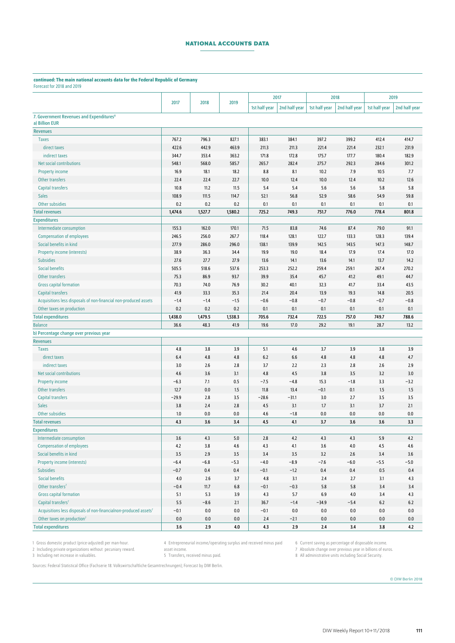## **NATIONAL ACCOUNTS DATA**

#### continued: The main national accounts data for the Federal Republic of Germany Forecast for 2018 and 2019

|                                                                              |               |              |               | 2017          |                | 2018          |               | 2019          |                |
|------------------------------------------------------------------------------|---------------|--------------|---------------|---------------|----------------|---------------|---------------|---------------|----------------|
|                                                                              | 2017          | 2018         | 2019          | 1st half year | 2nd half year  | 1st half year | 2nd half year | 1st half year | 2nd half year  |
| 7. Government Revenues and Expenditures <sup>8</sup>                         |               |              |               |               |                |               |               |               |                |
| a) Billion EUR                                                               |               |              |               |               |                |               |               |               |                |
| <b>Revenues</b>                                                              |               |              |               |               |                |               |               |               |                |
| <b>Taxes</b>                                                                 | 767.2         | 796.3        | 827.1         | 383.1         | 384.1          | 397.2         | 399.2         | 412.4         | 414.7          |
| direct taxes                                                                 | 422.6         | 442.9        | 463.9         | 211.3         | 211.3          | 221.4         | 221.4         | 232.1         | 231.9          |
| indirect taxes                                                               | 344.7         | 353.4        | 363.2         | 171.8         | 172.8          | 175.7         | 177.7         | 180.4         | 182.9          |
| <b>Net social contributions</b>                                              | 548.1         | 568.0        | 585.7         | 265.7         | 282.4          | 275.7         | 292.3         | 284.6         | 301.2          |
| <b>Property income</b>                                                       | 16.9          | 18.1         | 18.2          | 8.8           | 8.1            | 10.2          | 7.9           | 10.5          | 7.7            |
| Other transfers                                                              | 22.4          | 22.4         | 22.7          | 10.0          | 12.4           | 10.0          | 12.4          | 10.2          | 12.6           |
| <b>Capital transfers</b>                                                     | 10.8          | 11.2         | 11.5          | 5.4           | 5.4            | 5.6           | 5.6           | 5.8           | 5.8            |
| <b>Sales</b>                                                                 | 108.9         | 111.5        | 114.7         | 52.1          | 56.8           | 52.9          | 58.6          | 54.9          | 59.8           |
| Other subsidies                                                              | 0.2           | 0.2          | 0.2           | 0.1           | 0.1            | 0.1           | 0.1           | 0.1           | 0.1            |
| <b>Total revenues</b>                                                        | 1,474.6       | 1,527.7      | 1,580.2       | 725.2         | 749.3          | 751.7         | 776.0         | 778.4         | 801.8          |
| <b>Expenditures</b>                                                          |               |              |               |               |                |               |               |               |                |
| Intermediate consumption                                                     | 155.3         | 162.0        | 170.1         | 71.5          | 83.8           | 74.6          | 87.4          | 79.0          | 91.1           |
| <b>Compensation of employees</b>                                             | 246.5         | 256.0        | 267.7         | 118.4         | 128.1          | 122.7         | 133.3         | 128.3         | 139.4          |
| Social benefits in kind                                                      | 277.9         | 286.0        | 296.0         | 138.1         | 139.9          | 142.5         | 143.5         | 147.3         | 148.7          |
| <b>Property income (interests)</b>                                           | 38.9          | 36.3         | 34.4          | 19.9          | 19.0           | 18.4          | 17.9          | 17.4          | 17.0           |
| <b>Subsidies</b><br><b>Social benefits</b>                                   | 27.6<br>505.5 | 27.7         | 27.9<br>537.6 | 13.6          | 14.1<br>252.2  | 13.6          | 14.1<br>259.1 | 13.7          | 14.2<br>270.2  |
| Other transfers                                                              |               | 518.6        |               | 253.3         |                | 259.4         |               | 267.4         |                |
|                                                                              | 75.3          | 86.9<br>74.0 | 93.7<br>76.9  | 39.9          | 35.4           | 45.7<br>32.3  | 41.2<br>41.7  | 49.1          | 44.7           |
| <b>Gross capital formation</b><br><b>Capital transfers</b>                   | 70.3<br>41.9  | 33.3         | 35.3          | 30.2<br>21.4  | 40.1           | 13.9          | 19.3          | 33.4<br>14.8  | 43.5           |
| Acquisitions less disposals of non-financial non-produced assets             | $-1.4$        | $-1.4$       | $-1.5$        | $-0.6$        | 20.4<br>$-0.8$ | $-0.7$        | $-0.8$        | $-0.7$        | 20.5<br>$-0.8$ |
| Other taxes on production                                                    | 0.2           | 0.2          | 0.2           | 0.1           | 0.1            | 0.1           | 0.1           | 0.1           | 0.1            |
| <b>Total expenditures</b>                                                    | 1,438.0       | 1,479.5      | 1,538.3       | 705.6         | 732.4          | 722.5         | 757.0         | 749.7         | 788.6          |
| <b>Balance</b>                                                               | 36.6          | 48.3         | 41.9          | 19.6          | 17.0           | 29.2          | 19.1          | 28.7          | 13.2           |
| b) Percentage change over previous year                                      |               |              |               |               |                |               |               |               |                |
| <b>Revenues</b>                                                              |               |              |               |               |                |               |               |               |                |
| <b>Taxes</b>                                                                 | 4.8           | 3.8          | 3.9           | 5.1           | 4.6            | 3.7           | 3.9           | 3.8           | 3.9            |
| direct taxes                                                                 | 6.4           | 4.8          | 4.8           | 6.2           | 6.6            | 4.8           | 4.8           | 4.8           | 4.7            |
| indirect taxes                                                               | 3.0           | 2.6          | 2.8           | 3.7           | 2.2            | 2.3           | 2.8           | 2.6           | 2.9            |
| Net social contributions                                                     | 4.6           | 3.6          | 3.1           | 4.8           | 4.5            | 3.8           | 3.5           | 3.2           | 3.0            |
| <b>Property income</b>                                                       | $-6.3$        | 7.1          | 0.5           | $-7.5$        | $-4.8$         | 15.3          | $-1.8$        | 3.3           | $-3.2$         |
| Other transfers                                                              | 12.7          | 0.0          | 1.5           | 11.8          | 13.4           | $-0.1$        | 0.1           | 1.5           | 1.5            |
| <b>Capital transfers</b>                                                     | $-29.9$       | 2.8          | 3.5           | $-28.6$       | $-31.1$        | 3.0           | 2.7           | 3.5           | 3.5            |
| <b>Sales</b>                                                                 | 3.8           | 2.4          | 2.8           | 4.5           | 3.1            | 1.7           | 3.1           | 3.7           | 2.1            |
| Other subsidies                                                              | $1.0\,$       | 0.0          | 0.0           | 4.6           | $-1.8$         | 0.0           | $0.0\,$       | 0.0           | 0.0            |
| <b>Total revenues</b>                                                        | 4.3           | 3.6          | 3.4           | 4.5           | 4.1            | 3.7           | 3.6           | 3.6           | 3.3            |
| <b>Expenditures</b>                                                          |               |              |               |               |                |               |               |               |                |
| Intermediate consumption                                                     | 3.6           | 4.3          | 5.0           | 2.8           | 4.2            | 4.3           | 4.3           | 5.9           | 4.2            |
| <b>Compensation of employees</b>                                             | 4.2           | 3.8          | 4.6           | 4.3           | 4.1            | $3.6\,$       | 4.0           | 4.5           | 4.6            |
| Social benefits in kind                                                      | 3.5           | 2.9          | 3.5           | 3.4           | 3.5            | 3.2           | 2.6           | 3.4           | 3.6            |
| <b>Property income (interests)</b>                                           | $-6.4$        | $-6.8$       | $-5.3$        | $-4.0$        | $-8.9$         | $-7.6$        | $-6.0$        | $-5.5$        | $-5.0$         |
| <b>Subsidies</b>                                                             | $-0.7$        | $0.4\,$      | 0.4           | $-0.1$        | $-1.2$         | 0.4           | $0.4\,$       | 0.5           | 0.4            |
| <b>Social benefits</b>                                                       | 4.0           | 2.6          | 3.7           | 4.8           | 3.1            | 2.4           | 2.7           | 3.1           | 4.3            |
| Other transfers <sup>7</sup>                                                 | $-0.4$        | 11.7         | 6.8           | $-0.1$        | $-0.3$         | 5.8           | 5.8           | 3.4           | 3.4            |
| <b>Gross capital formation</b>                                               | 5.1           | 5.3          | 3.9           | 4.3           | 5.7            | 6.9           | $4.0$         | 3.4           | 4.3            |
| Capital transfers <sup>7</sup>                                               | 5.5           | $-8.6$       | 2.1           | 36.7          | $-1.4$         | $-34.9$       | $-5.4$        | 6.2           | $6.2\,$        |
| Acquisitions less disposals of non-financialnon-produced assets <sup>7</sup> | $-0.1$        | 0.0          | 0.0           | $-0.1$        | 0.0            | 0.0           | 0.0           | 0.0           | 0.0            |
| Other taxes on production <sup>7</sup>                                       | 0.0           | 0.0          | 0.0           | 2.4           | $-2.1$         | 0.0           | 0.0           | 0.0           | 0.0            |
| <b>Total expenditures</b>                                                    | 3.6           | 2.9          | 4.0           | 4.3           | 2.9            | 2.4           | 3.4           | 3.8           | 4.2            |

1 Gross domestic product (price-adjusted) per man-hour.

2 Including private organizations without pecuniary reward. 3 Including net increase in valuables.

asset income. 5 Transfers, received minus paid.

4 Entrepreneurial income/operating surplus and received minus paid 6 Current saving as percentage of disposable income.

7 Absolute change over previous year in billions of euros.

8 All administrative units including Social Security.

Sources: Federal Statistical Office (Fachserie 18: Volkswirtschaftliche Gesamtrechnungen); Forecast by DIW Berlin.

© DIW Berlin 2018